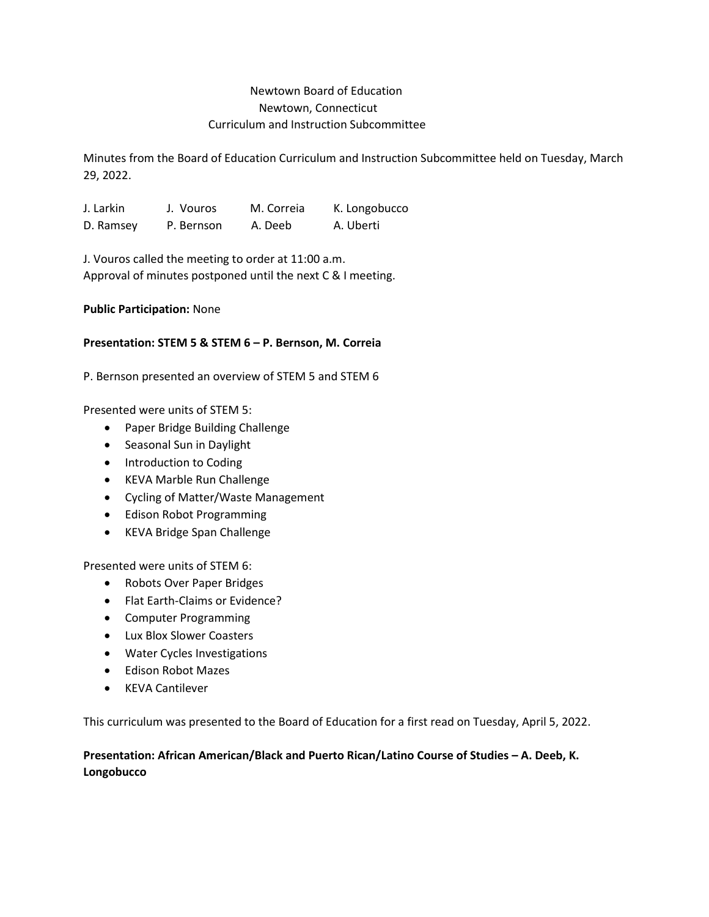## Newtown Board of Education Newtown, Connecticut Curriculum and Instruction Subcommittee

Minutes from the Board of Education Curriculum and Instruction Subcommittee held on Tuesday, March 29, 2022.

J. Larkin J. Vouros M. Correia K. Longobucco D. Ramsey P. Bernson A. Deeb A. Uberti

J. Vouros called the meeting to order at 11:00 a.m. Approval of minutes postponed until the next C & I meeting.

**Public Participation:** None

## **Presentation: STEM 5 & STEM 6 – P. Bernson, M. Correia**

P. Bernson presented an overview of STEM 5 and STEM 6

Presented were units of STEM 5:

- Paper Bridge Building Challenge
- Seasonal Sun in Daylight
- Introduction to Coding
- KEVA Marble Run Challenge
- Cycling of Matter/Waste Management
- Edison Robot Programming
- KEVA Bridge Span Challenge

Presented were units of STEM 6:

- Robots Over Paper Bridges
- Flat Earth-Claims or Evidence?
- Computer Programming
- Lux Blox Slower Coasters
- Water Cycles Investigations
- Edison Robot Mazes
- KEVA Cantilever

This curriculum was presented to the Board of Education for a first read on Tuesday, April 5, 2022.

## **Presentation: African American/Black and Puerto Rican/Latino Course of Studies – A. Deeb, K. Longobucco**